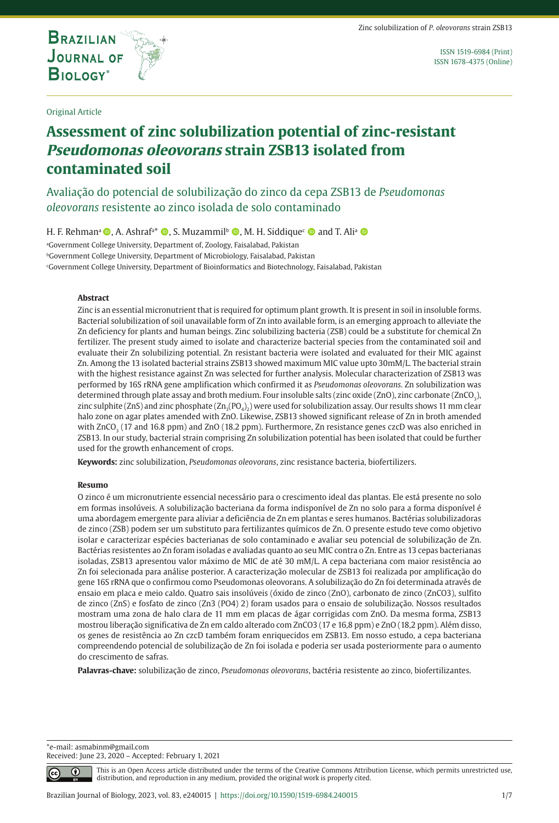

**THE INTERNATIONAL JOURNAL ON GLOBAL BIODIVERSITY AND ENVIRONMENT**

ISSN 1519-6984 (Print) ISSN 1678-4375 (Online)

#### Original Article

# **Assessment of zinc solubilization potential of zinc-resistant Pseudomonas oleovorans strain ZSB13 isolated from contaminated soil**

Avaliação do potencial de solubilização do zinco da cepa ZSB13 de *Pseudomonas oleovorans* resistente ao zinco isolada de solo contaminado

H. F. Rehmanª ©, A. Ashraf<sup>a\*</sup> ©, S. Muzammil<sup>b</sup> ©, M. H. Siddique<sup>c</sup> © and T. Aliª ©

a Government College University, Department of, Zoology, Faisalabad, Pakistan

bGovernment College University, Department of Microbiology, Faisalabad, Pakistan

c Government College University, Department of Bioinformatics and Biotechnology, Faisalabad, Pakistan

#### **Abstract**

Zinc is an essential micronutrient that is required for optimum plant growth. It is present in soil in insoluble forms. Bacterial solubilization of soil unavailable form of Zn into available form, is an emerging approach to alleviate the Zn deficiency for plants and human beings. Zinc solubilizing bacteria (ZSB) could be a substitute for chemical Zn fertilizer. The present study aimed to isolate and characterize bacterial species from the contaminated soil and evaluate their Zn solubilizing potential. Zn resistant bacteria were isolated and evaluated for their MIC against Zn. Among the 13 isolated bacterial strains ZSB13 showed maximum MIC value upto 30mM/L. The bacterial strain with the highest resistance against Zn was selected for further analysis. Molecular characterization of ZSB13 was performed by 16S rRNA gene amplification which confirmed it as *Pseudomonas oleovorans.* Zn solubilization was determined through plate assay and broth medium. Four insoluble salts (zinc oxide (ZnO), zinc carbonate (ZnCO<sub>3</sub>), zinc sulphite (ZnS) and zinc phosphate ( $\text{Zn}_{3}(PO_{4})_{2}$ ) were used for solubilization assay. Our results shows 11 mm clear halo zone on agar plates amended with ZnO. Likewise, ZSB13 showed significant release of Zn in broth amended with ZnCO<sub>3</sub> (17 and 16.8 ppm) and ZnO (18.2 ppm). Furthermore, Zn resistance genes czcD was also enriched in ZSB13. In our study, bacterial strain comprising Zn solubilization potential has been isolated that could be further used for the growth enhancement of crops.

**Keywords:** zinc solubilization, *Pseudomonas oleovorans*, zinc resistance bacteria, biofertilizers.

#### **Resumo**

O zinco é um micronutriente essencial necessário para o crescimento ideal das plantas. Ele está presente no solo em formas insolúveis. A solubilização bacteriana da forma indisponível de Zn no solo para a forma disponível é uma abordagem emergente para aliviar a deficiência de Zn em plantas e seres humanos. Bactérias solubilizadoras de zinco (ZSB) podem ser um substituto para fertilizantes químicos de Zn. O presente estudo teve como objetivo isolar e caracterizar espécies bacterianas de solo contaminado e avaliar seu potencial de solubilização de Zn. Bactérias resistentes ao Zn foram isoladas e avaliadas quanto ao seu MIC contra o Zn. Entre as 13 cepas bacterianas isoladas, ZSB13 apresentou valor máximo de MIC de até 30 mM/L. A cepa bacteriana com maior resistência ao Zn foi selecionada para análise posterior. A caracterização molecular de ZSB13 foi realizada por amplificação do gene 16S rRNA que o confirmou como Pseudomonas oleovorans. A solubilização do Zn foi determinada através de ensaio em placa e meio caldo. Quatro sais insolúveis (óxido de zinco (ZnO), carbonato de zinco (ZnCO3), sulfito de zinco (ZnS) e fosfato de zinco (Zn3 (PO4) 2) foram usados para o ensaio de solubilização. Nossos resultados mostram uma zona de halo clara de 11 mm em placas de ágar corrigidas com ZnO. Da mesma forma, ZSB13 mostrou liberação significativa de Zn em caldo alterado com ZnCO3 (17 e 16,8 ppm) e ZnO (18,2 ppm). Além disso, os genes de resistência ao Zn czcD também foram enriquecidos em ZSB13. Em nosso estudo, a cepa bacteriana compreendendo potencial de solubilização de Zn foi isolada e poderia ser usada posteriormente para o aumento do crescimento de safras.

**Palavras-chave:** solubilização de zinco, *Pseudomonas oleovorans*, bactéria resistente ao zinco, biofertilizantes.

\*e-mail: asmabinm@gmail.com Received: June 23, 2020 – Accepted: February 1, 2021

 $\bigcap$ 

This is an Open Access article distributed under the terms of the Creative Commons Attribution License, which permits unrestricted use, distribution, and reproduction in any medium, provided the original work is properly cited.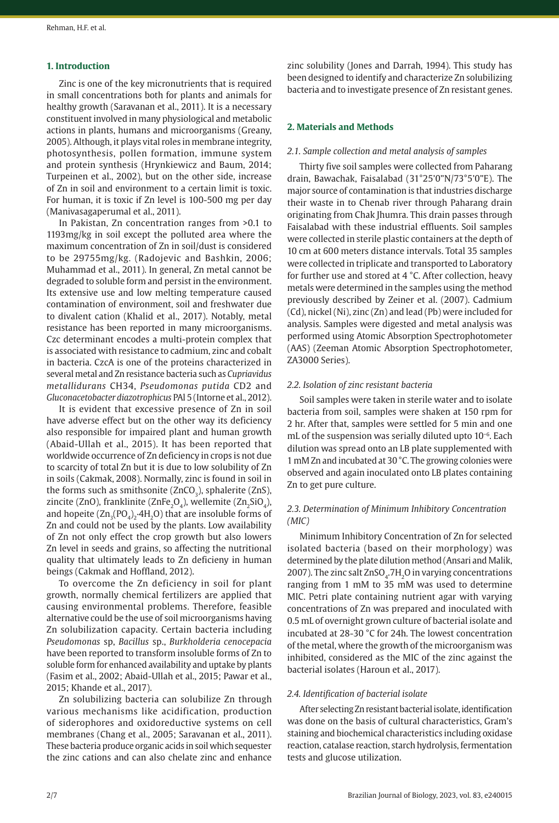#### **1. Introduction**

Zinc is one of the key micronutrients that is required in small concentrations both for plants and animals for healthy growth (Saravanan et al., 2011). It is a necessary constituent involved in many physiological and metabolic actions in plants, humans and microorganisms (Greany, 2005). Although, it plays vital roles in membrane integrity, photosynthesis, pollen formation, immune system and protein synthesis (Hrynkiewicz and Baum, 2014; Turpeinen et al., 2002), but on the other side, increase of Zn in soil and environment to a certain limit is toxic. For human, it is toxic if Zn level is 100-500 mg per day (Manivasagaperumal et al., 2011).

In Pakistan, Zn concentration ranges from >0.1 to 1193mg/kg in soil except the polluted area where the maximum concentration of Zn in soil/dust is considered to be 29755mg/kg. (Radojevic and Bashkin, 2006; Muhammad et al., 2011). In general, Zn metal cannot be degraded to soluble form and persist in the environment. Its extensive use and low melting temperature caused contamination of environment, soil and freshwater due to divalent cation (Khalid et al., 2017). Notably, metal resistance has been reported in many microorganisms. Czc determinant encodes a multi-protein complex that is associated with resistance to cadmium, zinc and cobalt in bacteria. CzcA is one of the proteins characterized in several metal and Zn resistance bacteria such as *Cupriavidus metallidurans* CH34, *Pseudomonas putida* CD2 and *Gluconacetobacter diazotrophicus* PAl 5 (Intorne et al., 2012).

It is evident that excessive presence of Zn in soil have adverse effect but on the other way its deficiency also responsible for impaired plant and human growth (Abaid-Ullah et al., 2015). It has been reported that worldwide occurrence of Zn deficiency in crops is not due to scarcity of total Zn but it is due to low solubility of Zn in soils (Cakmak, 2008). Normally, zinc is found in soil in the forms such as smithsonite  $(ZnCO<sub>2</sub>)$ , sphalerite  $(ZnS)$ , zincite (ZnO), franklinite (ZnFe<sub>2</sub>O<sub>4</sub>), wellemite (Zn<sub>2</sub>SiO<sub>4</sub>), and hopeite  $(Zn_{3}(PO_{4})_{2}\cdot4H_{2}O)$  that are insoluble forms of Zn and could not be used by the plants. Low availability of Zn not only effect the crop growth but also lowers Zn level in seeds and grains, so affecting the nutritional quality that ultimately leads to Zn deficieny in human beings (Cakmak and Hoffland, 2012).

To overcome the Zn deficiency in soil for plant growth, normally chemical fertilizers are applied that causing environmental problems. Therefore, feasible alternative could be the use of soil microorganisms having Zn solubilization capacity. Certain bacteria including *Pseudomonas* sp, *Bacillus* sp., *Burkholderia cenocepacia* have been reported to transform insoluble forms of Zn to soluble form for enhanced availability and uptake by plants (Fasim et al., 2002; Abaid-Ullah et al., 2015; Pawar et al., 2015; Khande et al., 2017).

Zn solubilizing bacteria can solubilize Zn through various mechanisms like acidification, production of siderophores and oxidoreductive systems on cell membranes (Chang et al., 2005; Saravanan et al., 2011). These bacteria produce organic acids in soil which sequester the zinc cations and can also chelate zinc and enhance

zinc solubility (Jones and Darrah, 1994). This study has been designed to identify and characterize Zn solubilizing bacteria and to investigate presence of Zn resistant genes.

# **2. Materials and Methods**

#### *2.1. Sample collection and metal analysis of samples*

Thirty five soil samples were collected from Paharang drain, Bawachak, Faisalabad (31°25'0"N/73°5'0"E). The major source of contamination is that industries discharge their waste in to Chenab river through Paharang drain originating from Chak Jhumra. This drain passes through Faisalabad with these industrial effluents. Soil samples were collected in sterile plastic containers at the depth of 10 cm at 600 meters distance intervals. Total 35 samples were collected in triplicate and transported to Laboratory for further use and stored at 4 °C. After collection, heavy metals were determined in the samples using the method previously described by Zeiner et al. (2007). Cadmium (Cd), nickel (Ni), zinc (Zn) and lead (Pb) were included for analysis. Samples were digested and metal analysis was performed using Atomic Absorption Spectrophotometer (AAS) (Zeeman Atomic Absorption Spectrophotometer, ZA3000 Series).

# *2.2. Isolation of zinc resistant bacteria*

Soil samples were taken in sterile water and to isolate bacteria from soil, samples were shaken at 150 rpm for 2 hr. After that, samples were settled for 5 min and one mL of the suspension was serially diluted upto 10−6. Each dilution was spread onto an LB plate supplemented with 1 mM Zn and incubated at 30 °C. The growing colonies were observed and again inoculated onto LB plates containing Zn to get pure culture.

#### *2.3. Determination of Minimum Inhibitory Concentration (MIC)*

Minimum Inhibitory Concentration of Zn for selected isolated bacteria (based on their morphology) was determined by the plate dilution method (Ansari and Malik, 2007). The zinc salt  $ZnSO<sub>4</sub>$ .7H<sub>2</sub>O in varying concentrations ranging from 1 mM to 35 mM was used to determine MIC. Petri plate containing nutrient agar with varying concentrations of Zn was prepared and inoculated with 0.5 mL of overnight grown culture of bacterial isolate and incubated at 28-30 °C for 24h. The lowest concentration of the metal, where the growth of the microorganism was inhibited, considered as the MIC of the zinc against the bacterial isolates (Haroun et al., 2017).

#### *2.4. Identification of bacterial isolate*

After selecting Zn resistant bacterial isolate, identification was done on the basis of cultural characteristics, Gram's staining and biochemical characteristics including oxidase reaction, catalase reaction, starch hydrolysis, fermentation tests and glucose utilization.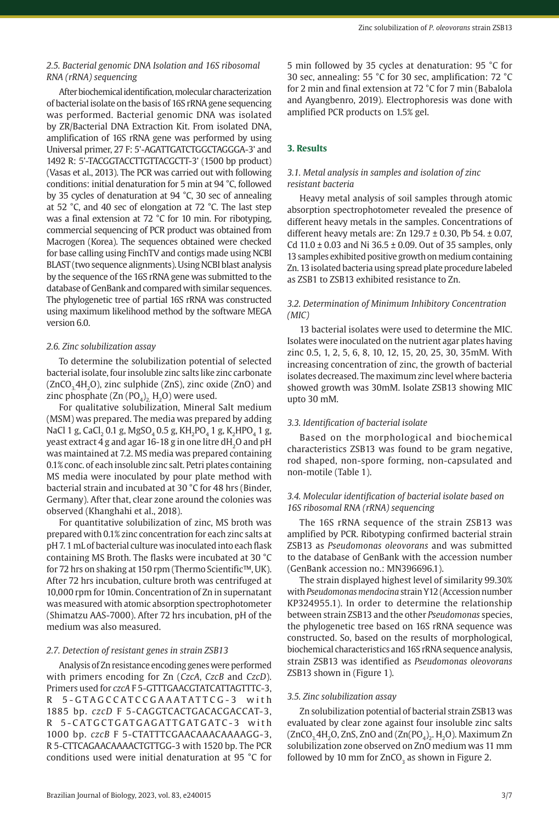# *2.5. Bacterial genomic DNA Isolation and 16S ribosomal RNA (rRNA) sequencing*

After biochemical identification, molecular characterization of bacterial isolate on the basis of 16S rRNA gene sequencing was performed. Bacterial genomic DNA was isolated by ZR/Bacterial DNA Extraction Kit. From isolated DNA, amplification of 16S rRNA gene was performed by using Universal primer, 27 F: 5'-AGATTGATCTGGCTAGGGA-3' and 1492 R: 5'-TACGGTACCTTGTTACGCTT-3' (1500 bp product) (Vasas et al., 2013). The PCR was carried out with following conditions: initial denaturation for 5 min at 94 °C, followed by 35 cycles of denaturation at 94 °C, 30 sec of annealing at 52 °C, and 40 sec of elongation at 72 °C. The last step was a final extension at 72 °C for 10 min. For ribotyping, commercial sequencing of PCR product was obtained from Macrogen (Korea). The sequences obtained were checked for base calling using FinchTV and contigs made using NCBI BLAST (two sequence alignments). Using NCBI blast analysis by the sequence of the 16S rRNA gene was submitted to the database of GenBank and compared with similar sequences. The phylogenetic tree of partial 16S rRNA was constructed using maximum likelihood method by the software MEGA version 6.0.

#### *2.6. Zinc solubilization assay*

To determine the solubilization potential of selected bacterial isolate, four insoluble zinc salts like zinc carbonate  $(ZnCO, 4H, O)$ , zinc sulphide (ZnS), zinc oxide (ZnO) and zinc phosphate (Zn  $(PO<sub>A</sub>)$ , H<sub>2</sub>O) were used.

For qualitative solubilization, Mineral Salt medium (MSM) was prepared. The media was prepared by adding NaCl 1 g, CaCl<sub>2</sub> 0.1 g, MgSO<sub>4</sub> 0.5 g, KH<sub>2</sub>PO<sub>4</sub> 1 g, K<sub>2</sub>HPO<sub>4</sub> 1 g, yeast extract 4 g and agar 16-18 g in one litre dH<sub>2</sub>O and pH was maintained at 7.2. MS media was prepared containing 0.1% conc. of each insoluble zinc salt. Petri plates containing MS media were inoculated by pour plate method with bacterial strain and incubated at 30 °C for 48 hrs (Binder, Germany). After that, clear zone around the colonies was observed (Khanghahi et al., 2018).

For quantitative solubilization of zinc, MS broth was prepared with 0.1% zinc concentration for each zinc salts at pH 7. 1 mL of bacterial culture was inoculated into each flask containing MS Broth. The flasks were incubated at 30 °C for 72 hrs on shaking at 150 rpm (Thermo Scientific™, UK). After 72 hrs incubation, culture broth was centrifuged at 10,000 rpm for 10min. Concentration of Zn in supernatant was measured with atomic absorption spectrophotometer (Shimatzu AAS-7000). After 72 hrs incubation, pH of the medium was also measured.

# *2.7. Detection of resistant genes in strain ZSB13*

Analysis of Zn resistance encoding genes were performed with primers encoding for Zn (*CzcA*, *CzcB* and *CzcD*). Primers used for *czcA* F 5-GTTTGAACGTATCATTAGTTTC-3, R 5-GTAGCCATCCGAAATATTCG-3 with 1885 bp. *czcD* F 5-CAGGTCACTGACACGACCAT-3, R 5-CATGCTGATGAGATTGATGATC-3 with 1000 bp. *czcB* F 5-CTATTTCGAACAAACAAAAGG-3, R 5-CTTCAGAACAAAACTGTTGG-3 with 1520 bp. The PCR conditions used were initial denaturation at 95 °C for

5 min followed by 35 cycles at denaturation: 95 °C for 30 sec, annealing: 55 °C for 30 sec, amplification: 72 °C for 2 min and final extension at 72 °C for 7 min (Babalola and Ayangbenro, 2019). Electrophoresis was done with amplified PCR products on 1.5% gel.

# **3. Results**

# *3.1. Metal analysis in samples and isolation of zinc resistant bacteria*

Heavy metal analysis of soil samples through atomic absorption spectrophotometer revealed the presence of different heavy metals in the samples. Concentrations of different heavy metals are: Zn  $129.7 \pm 0.30$ , Pb 54.  $\pm 0.07$ , Cd  $11.0 \pm 0.03$  and Ni  $36.5 \pm 0.09$ . Out of 35 samples, only 13 samples exhibited positive growth on medium containing Zn. 13 isolated bacteria using spread plate procedure labeled as ZSB1 to ZSB13 exhibited resistance to Zn.

# *3.2. Determination of Minimum Inhibitory Concentration (MIC)*

13 bacterial isolates were used to determine the MIC. Isolates were inoculated on the nutrient agar plates having zinc 0.5, 1, 2, 5, 6, 8, 10, 12, 15, 20, 25, 30, 35mM. With increasing concentration of zinc, the growth of bacterial isolates decreased. The maximum zinc level where bacteria showed growth was 30mM. Isolate ZSB13 showing MIC upto 30 mM.

# *3.3. Identification of bacterial isolate*

Based on the morphological and biochemical characteristics ZSB13 was found to be gram negative, rod shaped, non-spore forming, non-capsulated and non-motile (Table 1).

# *3.4. Molecular identification of bacterial isolate based on 16S ribosomal RNA (rRNA) sequencing*

The 16S rRNA sequence of the strain ZSB13 was amplified by PCR. Ribotyping confirmed bacterial strain ZSB13 as *Pseudomonas oleovorans* and was submitted to the database of GenBank with the accession number (GenBank accession no.: MN396696.1).

The strain displayed highest level of similarity 99.30% with *Pseudomonas mendocina* strain Y12 (Accession number KP324955.1). In order to determine the relationship between strain ZSB13 and the other *Pseudomonas* species, the phylogenetic tree based on 16S rRNA sequence was constructed. So, based on the results of morphological, biochemical characteristics and 16S rRNA sequence analysis, strain ZSB13 was identified as *Pseudomonas oleovorans* ZSB13 shown in (Figure 1).

# *3.5. Zinc solubilization assay*

Zn solubilization potential of bacterial strain ZSB13 was evaluated by clear zone against four insoluble zinc salts  $(ZnCO, 4H, O, ZnS, ZnO, and (Zn(PO<sub>4</sub>), H, O).$  Maximum Zn solubilization zone observed on ZnO medium was 11 mm followed by 10 mm for  $ZnCO<sub>3</sub>$  as shown in Figure 2.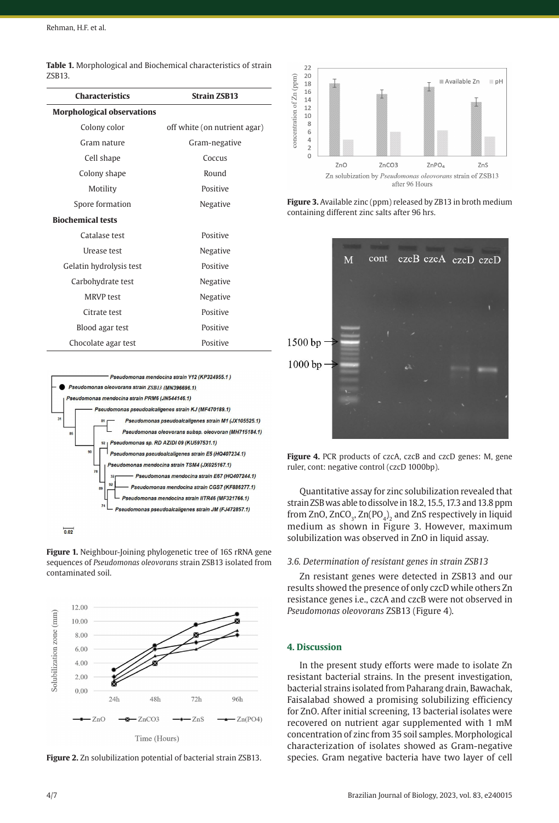|        | <b>Table 1.</b> Morphological and Biochemical characteristics of strain |
|--------|-------------------------------------------------------------------------|
| ZSB13. |                                                                         |

| <b>Characteristics</b>            | <b>Strain ZSB13</b>          |
|-----------------------------------|------------------------------|
|                                   |                              |
| <b>Morphological observations</b> |                              |
| Colony color                      | off white (on nutrient agar) |
| Gram nature                       | Gram-negative                |
| Cell shape                        | Coccus                       |
| Colony shape                      | Round                        |
| Motility                          | Positive                     |
| Spore formation                   | Negative                     |
| <b>Biochemical tests</b>          |                              |
| Catalase test                     | Positive                     |
| Urease test                       | Negative                     |
| Gelatin hydrolysis test           | Positive                     |
| Carbohydrate test                 | Negative                     |
| <b>MRVP</b> test                  | Negative                     |
| Citrate test                      | Positive                     |
| Blood agar test                   | Positive                     |
| Chocolate agar test               | Positive                     |



**Figure 1.** Neighbour-Joining phylogenetic tree of 16S rRNA gene sequences of *Pseudomonas oleovorans* strain ZSB13 isolated from contaminated soil.



**Figure 2.** Zn solubilization potential of bacterial strain ZSB13.



**Figure 3.** Available zinc (ppm) released by ZB13 in broth medium containing different zinc salts after 96 hrs.



Figure 4. PCR products of czcA, czcB and czcD genes: M, gene ruler, cont: negative control (czcD 1000bp).

Quantitative assay for zinc solubilization revealed that strain ZSB was able to dissolve in 18.2, 15.5, 17.3 and 13.8 ppm from ZnO,  $ZnCO<sub>2</sub>$ ,  $Zn(PO<sub>4</sub>)$ , and ZnS respectively in liquid medium as shown in Figure 3. However, maximum solubilization was observed in ZnO in liquid assay.

# *3.6. Determination of resistant genes in strain ZSB13*

Zn resistant genes were detected in ZSB13 and our results showed the presence of only czcD while others Zn resistance genes i.e., czcA and czcB were not observed in *Pseudomonas oleovorans* ZSB13 (Figure 4).

#### **4. Discussion**

In the present study efforts were made to isolate Zn resistant bacterial strains. In the present investigation, bacterial strains isolated from Paharang drain, Bawachak, Faisalabad showed a promising solubilizing efficiency for ZnO. After initial screening, 13 bacterial isolates were recovered on nutrient agar supplemented with 1 mM concentration of zinc from 35 soil samples. Morphological characterization of isolates showed as Gram-negative species. Gram negative bacteria have two layer of cell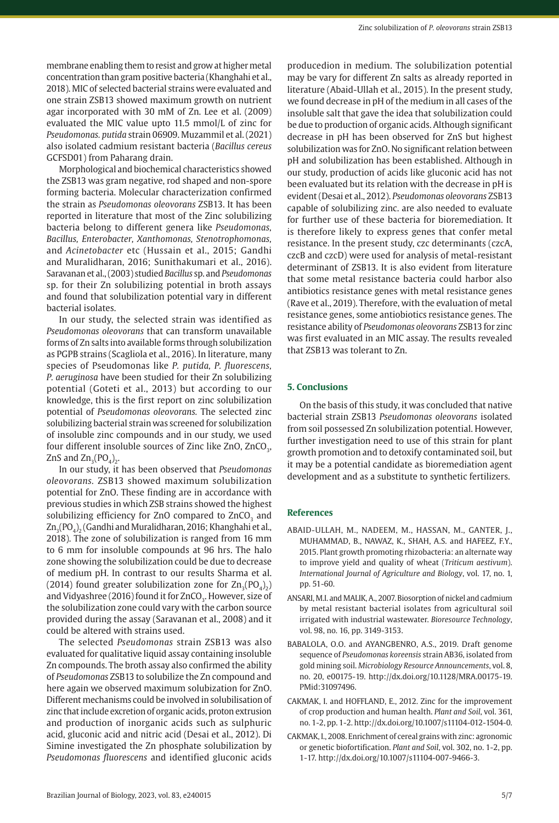membrane enabling them to resist and grow at higher metal concentration than gram positive bacteria (Khanghahi et al., 2018). MIC of selected bacterial strains were evaluated and one strain ZSB13 showed maximum growth on nutrient agar incorporated with 30 mM of Zn. Lee et al. (2009) evaluated the MIC value upto 11.5 mmol/L of zinc for *Pseudomonas. putida* strain 06909. Muzammil et al. (2021) also isolated cadmium resistant bacteria (*Bacillus cereus* GCFSD01) from Paharang drain.

Morphological and biochemical characteristics showed the ZSB13 was gram negative, rod shaped and non-spore forming bacteria. Molecular characterization confirmed the strain as *Pseudomonas oleovorans* ZSB13. It has been reported in literature that most of the Zinc solubilizing bacteria belong to different genera like *Pseudomonas, Bacillus, Enterobacter, Xanthomonas, Stenotrophomonas,* and *Acinetobacter* etc (Hussain et al., 2015; Gandhi and Muralidharan, 2016; Sunithakumari et al., 2016). Saravanan et al., (2003) studied *Bacillus* sp. and *Pseudomonas* sp. for their Zn solubilizing potential in broth assays and found that solubilization potential vary in different bacterial isolates.

In our study, the selected strain was identified as *Pseudomonas oleovorans* that can transform unavailable forms of Zn salts into available forms through solubilization as PGPB strains (Scagliola et al., 2016). In literature, many species of Pseudomonas like *P. putida, P. fluorescens, P. aeruginosa* have been studied for their Zn solubilizing potential (Goteti et al., 2013) but according to our knowledge, this is the first report on zinc solubilization potential of *Pseudomonas oleovorans.* The selected zinc solubilizing bacterial strain was screened for solubilization of insoluble zinc compounds and in our study, we used four different insoluble sources of Zinc like ZnO, ZnCO<sub>2</sub>,  $ZnS$  and  $Zn_{a}(PO_{a})$ .

In our study, it has been observed that *Pseudomonas oleovorans.* ZSB13 showed maximum solubilization potential for ZnO. These finding are in accordance with previous studies in which ZSB strains showed the highest solubilizing efficiency for ZnO compared to ZnCO<sub>3</sub> and  $\rm Zn_{_3}(\rm PO_{_4})_{_2}$  (Gandhi and Muralidharan, 2016; Khanghahi et al., 2018). The zone of solubilization is ranged from 16 mm to 6 mm for insoluble compounds at 96 hrs. The halo zone showing the solubilization could be due to decrease of medium pH. In contrast to our results Sharma et al. (2014) found greater solubilization zone for  $\text{Zn}_{2}(PO_{4})_{2}$ ) and Vidyashree (2016) found it for ZnCO<sub>2</sub>. However, size of the solubilization zone could vary with the carbon source provided during the assay (Saravanan et al., 2008) and it could be altered with strains used.

The selected *Pseudomonas* strain ZSB13 was also evaluated for qualitative liquid assay containing insoluble Zn compounds. The broth assay also confirmed the ability of *Pseudomonas* ZSB13 to solubilize the Zn compound and here again we observed maximum solubization for ZnO. Different mechanisms could be involved in solubilisation of zinc that include excretion of organic acids, proton extrusion and production of inorganic acids such as sulphuric acid, gluconic acid and nitric acid (Desai et al., 2012). Di Simine investigated the Zn phosphate solubilization by *Pseudomonas fluorescens* and identified gluconic acids

producedion in medium. The solubilization potential may be vary for different Zn salts as already reported in literature (Abaid-Ullah et al., 2015). In the present study, we found decrease in pH of the medium in all cases of the insoluble salt that gave the idea that solubilization could be due to production of organic acids. Although significant decrease in pH has been observed for ZnS but highest solubilization was for ZnO. No significant relation between pH and solubilization has been established. Although in our study, production of acids like gluconic acid has not been evaluated but its relation with the decrease in pH is evident (Desai et al., 2012). *Pseudomonas oleovorans* ZSB13 capable of solubilizing zinc. are also needed to evaluate for further use of these bacteria for bioremediation. It is therefore likely to express genes that confer metal resistance. In the present study, czc determinants (czcA, czcB and czcD) were used for analysis of metal-resistant determinant of ZSB13. It is also evident from literature that some metal resistance bacteria could harbor also antibiotics resistance genes with metal resistance genes (Rave et al., 2019). Therefore, with the evaluation of metal resistance genes, some antiobiotics resistance genes. The resistance ability of *Pseudomonas oleovorans* ZSB13 for zinc was first evaluated in an MIC assay. The results revealed that ZSB13 was tolerant to Zn.

#### **5. Conclusions**

On the basis of this study, it was concluded that native bacterial strain ZSB13 *Pseudomonas oleovorans* isolated from soil possessed Zn solubilization potential. However, further investigation need to use of this strain for plant growth promotion and to detoxify contaminated soil, but it may be a potential candidate as bioremediation agent development and as a substitute to synthetic fertilizers.

#### **References**

- ABAID-ULLAH, M., NADEEM, M., HASSAN, M., GANTER, J., MUHAMMAD, B., NAWAZ, K., SHAH, A.S. and HAFEEZ, F.Y., 2015. Plant growth promoting rhizobacteria: an alternate way to improve yield and quality of wheat (*Triticum aestivum*). *International Journal of Agriculture and Biology*, vol. 17, no. 1, pp. 51-60.
- ANSARI, M.I. and MALIK, A., 2007. Biosorption of nickel and cadmium by metal resistant bacterial isolates from agricultural soil irrigated with industrial wastewater. *Bioresource Technology*, vol. 98, no. 16, pp. 3149-3153.
- BABALOLA, O.O. and AYANGBENRO, A.S., 2019. Draft genome sequence of *Pseudomonas koreensis* strain AB36, isolated from gold mining soil. *Microbiology Resource Announcements*, vol. 8, no. 20, e00175-19. [http://dx.doi.org/10.1128/MRA.00175-19](https://doi.org/10.1128/MRA.00175-19). [PMid:31097496.](https://www.ncbi.nlm.nih.gov/entrez/query.fcgi?cmd=Retrieve&db=PubMed&list_uids=31097496&dopt=Abstract)
- CAKMAK, I. and HOFFLAND, E., 2012. Zinc for the improvement of crop production and human health. *Plant and Soil*, vol. 361, no. 1-2, pp. 1-2. [http://dx.doi.org/10.1007/s11104-012-1504-0](https://doi.org/10.1007/s11104-012-1504-0).
- CAKMAK, I., 2008. Enrichment of cereal grains with zinc: agronomic or genetic biofortification. *Plant and Soil*, vol. 302, no. 1-2, pp. 1-17. [http://dx.doi.org/10.1007/s11104-007-9466-3](https://doi.org/10.1007/s11104-007-9466-3).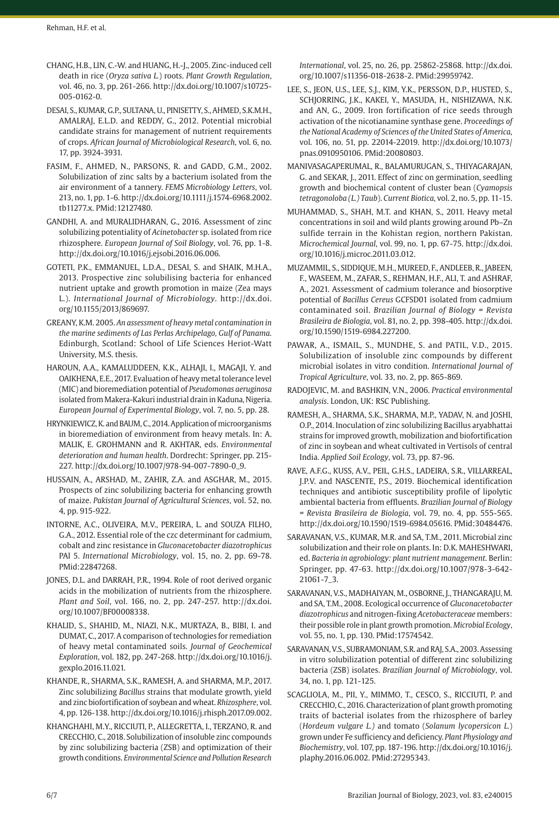- CHANG, H.B., LIN, C.-W. and HUANG, H.-J., 2005. Zinc-induced cell death in rice (*Oryza sativa L.*) roots. *Plant Growth Regulation*, vol. 46, no. 3, pp. 261-266. [http://dx.doi.org/10.1007/s10725-](https://doi.org/10.1007/s10725-005-0162-0) [005-0162-0](https://doi.org/10.1007/s10725-005-0162-0).
- DESAI, S., KUMAR, G.P., SULTANA, U., PINISETTY, S., AHMED, S.K.M.H., AMALRAJ, E.L.D. and REDDY, G., 2012. Potential microbial candidate strains for management of nutrient requirements of crops. *African Journal of Microbiological Research*, vol. 6, no. 17, pp. 3924-3931.
- FASIM, F., AHMED, N., PARSONS, R. and GADD, G.M., 2002. Solubilization of zinc salts by a bacterium isolated from the air environment of a tannery. *FEMS Microbiology Letters*, vol. 213, no. 1, pp. 1-6. [http://dx.doi.org/10.1111/j.1574-6968.2002.](https://doi.org/10.1111/j.1574-6968.2002.tb11277.x) [tb11277.x](https://doi.org/10.1111/j.1574-6968.2002.tb11277.x). [PMid:12127480.](https://www.ncbi.nlm.nih.gov/entrez/query.fcgi?cmd=Retrieve&db=PubMed&list_uids=12127480&dopt=Abstract)
- GANDHI, A. and MURALIDHARAN, G., 2016. Assessment of zinc solubilizing potentiality of *Acinetobacter* sp. isolated from rice rhizosphere. *European Journal of Soil Biology*, vol. 76, pp. 1-8. [http://dx.doi.org/10.1016/j.ejsobi.2016.06.006.](https://doi.org/10.1016/j.ejsobi.2016.06.006)
- GOTETI, P.K., EMMANUEL, L.D.A., DESAI, S. and SHAIK, M.H.A., 2013. Prospective zinc solubilising bacteria for enhanced nutrient uptake and growth promotion in maize (Zea mays L.). *International Journal of Microbiology*. http://dx.doi. org/10.1155/2013/869697.
- GREANY, K.M. 2005. *An assessment of heavy metal contamination in the marine sediments of Las Perlas Archipelago, Gulf of Panama*. Edinburgh, Scotland: School of Life Sciences Heriot-Watt University, M.S. thesis.
- HAROUN, A.A., KAMALUDDEEN, K.K., ALHAJI, I., MAGAJI, Y. and OAIKHENA, E.E., 2017. Evaluation of heavy metal tolerance level (MIC) and bioremediation potential of *Pseudomonas aeruginosa* isolated from Makera-Kakuri industrial drain in Kaduna, Nigeria. *European Journal of Experimental Biology*, vol. 7, no. 5, pp. 28.
- HRYNKIEWICZ, K. and BAUM, C., 2014. Application of microorganisms in bioremediation of environment from heavy metals. In: A. MALIK, E. GROHMANN and R. AKHTAR, eds. *Environmental deterioration and human health*. Dordrecht: Springer, pp. 215- 227. [http://dx.doi.org/10.1007/978-94-007-7890-0\\_9.](https://doi.org/10.1007/978-94-007-7890-0_9)
- HUSSAIN, A., ARSHAD, M., ZAHIR, Z.A. and ASGHAR, M., 2015. Prospects of zinc solubilizing bacteria for enhancing growth of maize. *Pakistan Journal of Agricultural Sciences*, vol. 52, no. 4, pp. 915-922.
- INTORNE, A.C., OLIVEIRA, M.V., PEREIRA, L. and SOUZA FILHO, G.A., 2012. Essential role of the czc determinant for cadmium, cobalt and zinc resistance in *Gluconacetobacter diazotrophicus* PAl 5. *International Microbiology*, vol. 15, no. 2, pp. 69-78. [PMid:22847268.](https://www.ncbi.nlm.nih.gov/entrez/query.fcgi?cmd=Retrieve&db=PubMed&list_uids=22847268&dopt=Abstract)
- JONES, D.L. and DARRAH, P.R., 1994. Role of root derived organic acids in the mobilization of nutrients from the rhizosphere. *Plant and Soil*, vol. 166, no. 2, pp. 247-257. [http://dx.doi.](https://doi.org/10.1007/BF00008338) [org/10.1007/BF00008338.](https://doi.org/10.1007/BF00008338)
- KHALID, S., SHAHID, M., NIAZI, N.K., MURTAZA, B., BIBI, I. and DUMAT, C., 2017. A comparison of technologies for remediation of heavy metal contaminated soils. *Journal of Geochemical Exploration*, vol. 182, pp. 247-268. [http://dx.doi.org/10.1016/j.](https://doi.org/10.1016/j.gexplo.2016.11.021) [gexplo.2016.11.021](https://doi.org/10.1016/j.gexplo.2016.11.021).
- KHANDE, R., SHARMA, S.K., RAMESH, A. and SHARMA, M.P., 2017. Zinc solubilizing *Bacillus* strains that modulate growth, yield and zinc biofortification of soybean and wheat. *Rhizosphere*, vol. 4, pp. 126-138. [http://dx.doi.org/10.1016/j.rhisph.2017.09.002](https://doi.org/10.1016/j.rhisph.2017.09.002).
- KHANGHAHI, M.Y., RICCIUTI, P., ALLEGRETTA, I., TERZANO, R. and CRECCHIO, C., 2018. Solubilization of insoluble zinc compounds by zinc solubilizing bacteria (ZSB) and optimization of their growth conditions. *Environmental Science and Pollution Research*

*International*, vol. 25, no. 26, pp. 25862-25868. [http://dx.doi.](https://doi.org/10.1007/s11356-018-2638-2) [org/10.1007/s11356-018-2638-2.](https://doi.org/10.1007/s11356-018-2638-2) [PMid:29959742.](https://www.ncbi.nlm.nih.gov/entrez/query.fcgi?cmd=Retrieve&db=PubMed&list_uids=29959742&dopt=Abstract)

- LEE, S., JEON, U.S., LEE, S.J., KIM, Y.K., PERSSON, D.P., HUSTED, S., SCHJORRING, J.K., KAKEI, Y., MASUDA, H., NISHIZAWA, N.K. and AN, G., 2009. Iron fortification of rice seeds through activation of the nicotianamine synthase gene. *Proceedings of the National Academy of Sciences of the United States of America*, vol. 106, no. 51, pp. 22014-22019. [http://dx.doi.org/10.1073/](https://doi.org/10.1073/pnas.0910950106) [pnas.0910950106.](https://doi.org/10.1073/pnas.0910950106) [PMid:20080803.](https://www.ncbi.nlm.nih.gov/entrez/query.fcgi?cmd=Retrieve&db=PubMed&list_uids=20080803&dopt=Abstract)
- MANIVASAGAPERUMAL, R., BALAMURUGAN, S., THIYAGARAJAN, G. and SEKAR, J., 2011. Effect of zinc on germination, seedling growth and biochemical content of cluster bean (*Cyamopsis tetragonoloba (L.) Taub*). *Current Biotica*, vol. 2, no. 5, pp. 11-15.
- MUHAMMAD, S., SHAH, M.T. and KHAN, S., 2011. Heavy metal concentrations in soil and wild plants growing around Pb–Zn sulfide terrain in the Kohistan region, northern Pakistan. *Microchemical Journal*, vol. 99, no. 1, pp. 67-75. [http://dx.doi.](https://doi.org/10.1016/j.microc.2011.03.012) [org/10.1016/j.microc.2011.03.012.](https://doi.org/10.1016/j.microc.2011.03.012)
- MUZAMMIL, S., SIDDIQUE, M.H., MUREED, F., ANDLEEB, R., JABEEN, F., WASEEM, M., ZAFAR, S., REHMAN, H.F., ALI, T. and ASHRAF, A., 2021. Assessment of cadmium tolerance and biosorptive potential of *Bacillus Cereus* GCFSD01 isolated from cadmium contaminated soil. *Brazilian Journal of Biology = Revista Brasileira de Biologia*, vol. 81, no. 2, pp. 398-405. [http://dx.doi.](https://doi.org/10.1590/1519-6984.227200) [org/10.1590/1519-6984.227200](https://doi.org/10.1590/1519-6984.227200).
- PAWAR, A., ISMAIL, S., MUNDHE, S. and PATIL, V.D., 2015. Solubilization of insoluble zinc compounds by different microbial isolates in vitro condition. *International Journal of Tropical Agriculture*, vol. 33, no. 2, pp. 865-869.
- RADOJEVIC, M. and BASHKIN, V.N., 2006. *Practical environmental analysis*. London, UK: RSC Publishing.
- RAMESH, A., SHARMA, S.K., SHARMA, M.P., YADAV, N. and JOSHI, O.P., 2014. Inoculation of zinc solubilizing Bacillus aryabhattai strains for improved growth, mobilization and biofortification of zinc in soybean and wheat cultivated in Vertisols of central India. *Applied Soil Ecology*, vol. 73, pp. 87-96.
- RAVE, A.F.G., KUSS, A.V., PEIL, G.H.S., LADEIRA, S.R., VILLARREAL, J.P.V. and NASCENTE, P.S., 2019. Biochemical identification techniques and antibiotic susceptibility profile of lipolytic ambiental bacteria from effluents. *Brazilian Journal of Biology = Revista Brasileira de Biologia*, vol. 79, no. 4, pp. 555-565. [http://dx.doi.org/10.1590/1519-6984.05616](https://doi.org/10.1590/1519-6984.05616). [PMid:30484476.](https://www.ncbi.nlm.nih.gov/entrez/query.fcgi?cmd=Retrieve&db=PubMed&list_uids=30484476&dopt=Abstract)
- SARAVANAN, V.S., KUMAR, M.R. and SA, T.M., 2011. Microbial zinc solubilization and their role on plants. In: D.K. MAHESHWARI, ed. *Bacteria in agrobiology: plant nutrient management.* Berlin: Springer, pp. 47-63. [http://dx.doi.org/10.1007/978-3-642-](https://doi.org/10.1007/978-3-642-21061-7_3) [21061-7\\_3](https://doi.org/10.1007/978-3-642-21061-7_3).
- SARAVANAN, V.S., MADHAIYAN, M., OSBORNE, J., THANGARAJU, M. and SA, T.M., 2008. Ecological occurrence of *Gluconacetobacter diazotrophicus* and nitrogen-fixing *Acetobacteraceae* members: their possible role in plant growth promotion. *Microbial Ecology*, vol. 55, no. 1, pp. 130. [PMid:17574542.](https://www.ncbi.nlm.nih.gov/entrez/query.fcgi?cmd=Retrieve&db=PubMed&list_uids=17574542&dopt=Abstract)
- SARAVANAN, V.S., SUBRAMONIAM, S.R. and RAJ, S.A., 2003. Assessing in vitro solubilization potential of different zinc solubilizing bacteria (ZSB) isolates. *Brazilian Journal of Microbiology*, vol. 34, no. 1, pp. 121-125.
- SCAGLIOLA, M., PII, Y., MIMMO, T., CESCO, S., RICCIUTI, P. and CRECCHIO, C., 2016. Characterization of plant growth promoting traits of bacterial isolates from the rhizosphere of barley (*Hordeum vulgare L.)* and tomato (*Solanum lycopersicon L.*) grown under Fe sufficiency and deficiency. *Plant Physiology and Biochemistry*, vol. 107, pp. 187-196. [http://dx.doi.org/10.1016/j.](https://doi.org/10.1016/j.plaphy.2016.06.002) [plaphy.2016.06.002](https://doi.org/10.1016/j.plaphy.2016.06.002). [PMid:27295343.](https://www.ncbi.nlm.nih.gov/entrez/query.fcgi?cmd=Retrieve&db=PubMed&list_uids=27295343&dopt=Abstract)